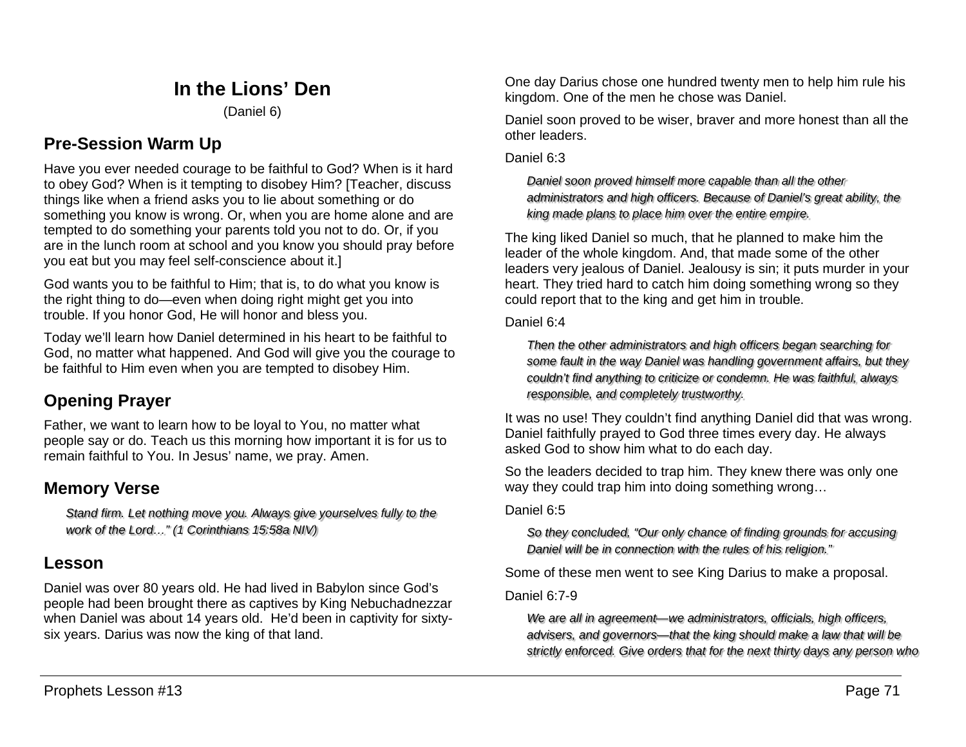# **In the Lions' Den**

(Daniel 6)

## **Pre-Session Warm Up**

Have you ever needed courage to be faithful to God? When is it hard to obey God? When is it tempting to disobey Him? [Teacher, discuss things like when a friend asks you to lie about something or do something you know is wrong. Or, when you are home alone and are tempted to do something your parents told you not to do. Or, if you are in the lunch room at school and you know you should pray before you eat but you may feel self-conscience about it.]

God wants you to be faithful to Him; that is, to do what you know is the right thing to do—even when doing right might get you into trouble. If you honor God, He will honor and bless you.

Today we'll learn how Daniel determined in his heart to be faithful to God, no matter what happened. And God will give you the courage to be faithful to Him even when you are tempted to disobey Him.

# **Opening Prayer**

Father, we want to learn how to be loyal to You, no matter what people say or do. Teach us this morning how important it is for us to remain faithful to You. In Jesus' name, we pray. Amen.

## **Memory Verse**

*Stand firm. Let nothing move you. Always give yourselves fully to the work of the Lord…" (1 Corinthians 15:58a NIV)*

### **Lesson**

Daniel was over 80 years old. He had lived in Babylon since God's people had been brought there as captives by King Nebuchadnezzar when Daniel was about 14 years old. He'd been in captivity for sixtysix years. Darius was now the king of that land.

One day Darius chose one hundred twenty men to help him rule his kingdom. One of the men he chose was Daniel.

Daniel soon proved to be wiser, braver and more honest than all the other leaders.

#### Daniel 6:3

*Daniel soon proved himself more capable than all the other administrators and high officers. Because of Daniel's great ability, the king made plans to place him over the entire empire.*

The king liked Daniel so much, that he planned to make him the leader of the whole kingdom. And, that made some of the other leaders very jealous of Daniel. Jealousy is sin; it puts murder in your heart. They tried hard to catch him doing something wrong so they could report that to the king and get him in trouble.

Daniel 6:4

*Then the other administrators and high officers began searching for some fault in the way Daniel was handling government affairs, but they couldn't find anything to criticize or condemn. He was faithful, always responsible, and completely trustworthy.*

It was no use! They couldn't find anything Daniel did that was wrong. Daniel faithfully prayed to God three times every day. He always asked God to show him what to do each day.

So the leaders decided to trap him. They knew there was only one way they could trap him into doing something wrong…

#### Daniel 6:5

*So they concluded, "Our only chance of finding grounds for accusing Daniel will be in connection with the rules of his religion."* 

Some of these men went to see King Darius to make a proposal.

#### Daniel 6:7-9

*We are all in agreement—we administrators, officials, high officers, advisers, and governors—that the king should make a law that will be strictly enforced. Give orders that for the next thirty days any person who*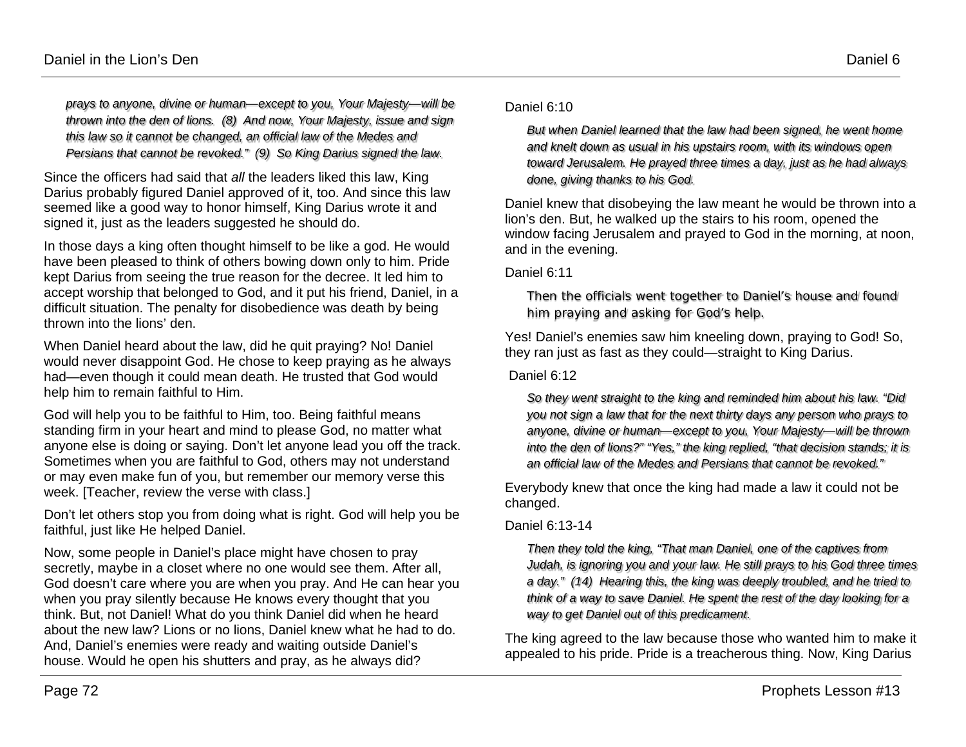*prays to anyone, divine or human—except to you, Your Majesty—will be thrown into the den of lions. (8) And now, Your Majesty, issue and sign this law so it cannot be changed, an official law of the Medes and Persians that cannot be revoked." (9) So King Darius signed the law.*

Since the officers had said that *all* the leaders liked this law, King Darius probably figured Daniel approved of it, too. And since this law seemed like a good way to honor himself, King Darius wrote it and signed it, just as the leaders suggested he should do.

In those days a king often thought himself to be like a god. He would have been pleased to think of others bowing down only to him. Pride kept Darius from seeing the true reason for the decree. It led him to accept worship that belonged to God, and it put his friend, Daniel, in a difficult situation. The penalty for disobedience was death by being thrown into the lions' den.

When Daniel heard about the law, did he quit praying? No! Daniel would never disappoint God. He chose to keep praying as he always had—even though it could mean death. He trusted that God would help him to remain faithful to Him.

God will help you to be faithful to Him, too. Being faithful means standing firm in your heart and mind to please God, no matter what anyone else is doing or saying. Don't let anyone lead you off the track. Sometimes when you are faithful to God, others may not understand or may even make fun of you, but remember our memory verse this week. [Teacher, review the verse with class.]

Don't let others stop you from doing what is right. God will help you be faithful, just like He helped Daniel.

Now, some people in Daniel's place might have chosen to pray secretly, maybe in a closet where no one would see them. After all, God doesn't care where you are when you pray. And He can hear you when you pray silently because He knows every thought that you think. But, not Daniel! What do you think Daniel did when he heard about the new law? Lions or no lions, Daniel knew what he had to do. And, Daniel's enemies were ready and waiting outside Daniel's house. Would he open his shutters and pray, as he always did?

Daniel 6:10

*But when Daniel learned that the law had been signed, he went home and knelt down as usual in his upstairs room, with its windows open toward Jerusalem. He prayed three times a day, just as he had always done, giving thanks to his God.*

Daniel knew that disobeying the law meant he would be thrown into a lion's den. But, he walked up the stairs to his room, opened the window facing Jerusalem and prayed to God in the morning, at noon, and in the evening.

Daniel 6:11

*Then the officials went together to Daniel's house and found him praying and asking for God's help.*

Yes! Daniel's enemies saw him kneeling down, praying to God! So, they ran just as fast as they could—straight to King Darius.

Daniel 6:12

*So they went straight to the king and reminded him about his law. "Did you not sign a law that for the next thirty days any person who prays to anyone, divine or human—except to you, Your Majesty—will be thrown into the den of lions?" "Yes," the king replied, "that decision stands; it is an official law of the Medes and Persians that cannot be revoked."* 

Everybody knew that once the king had made a law it could not be changed.

#### Daniel 6:13-14

*Then they told the king, "That man Daniel, one of the captives from Judah, is ignoring you and your law. He still prays to his God three times a day." (14) Hearing this, the king was deeply troubled, and he tried to think of a way to save Daniel. He spent the rest of the day looking for a way to get Daniel out of this predicament.*

The king agreed to the law because those who wanted him to make it appealed to his pride. Pride is a treacherous thing. Now, King Darius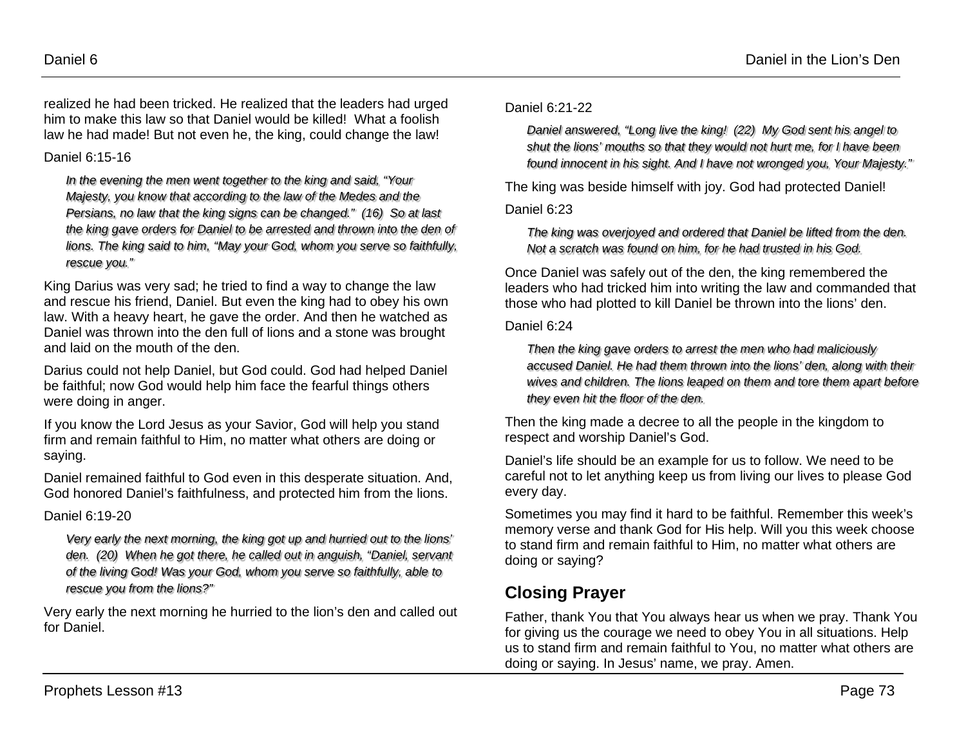realized he had been tricked. He realized that the leaders had urged him to make this law so that Daniel would be killed! What a foolish law he had made! But not even he, the king, could change the law!

Daniel 6:15-16

*In the evening the men went together to the king and said, "Your Majesty, you know that according to the law of the Medes and the Persians, no law that the king signs can be changed." (16) So at last the king gave orders for Daniel to be arrested and thrown into the den of lions. The king said to him, "May your God, whom you serve so faithfully, rescue you."*

King Darius was very sad; he tried to find a way to change the law and rescue his friend, Daniel. But even the king had to obey his own law. With a heavy heart, he gave the order. And then he watched as Daniel was thrown into the den full of lions and a stone was brought and laid on the mouth of the den.

Darius could not help Daniel, but God could. God had helped Daniel be faithful; now God would help him face the fearful things others were doing in anger.

If you know the Lord Jesus as your Savior, God will help you stand firm and remain faithful to Him, no matter what others are doing or saying.

Daniel remained faithful to God even in this desperate situation. And, God honored Daniel's faithfulness, and protected him from the lions.

#### Daniel 6:19-20

*Very early the next morning, the king got up and hurried out to the lions' den. (20) When he got there, he called out in anguish, "Daniel, servant of the living God! Was your God, whom you serve so faithfully, able to rescue you from the lions?"*

Very early the next morning he hurried to the lion's den and called out for Daniel.

#### Daniel 6:21-22

*Daniel answered, "Long live the king! (22) My God sent his angel to shut the lions' mouths so that they would not hurt me, for I have been found innocent in his sight. And I have not wronged you, Your Majesty."*

The king was beside himself with joy. God had protected Daniel!

#### Daniel 6:23

*The king was overjoyed and ordered that Daniel be lifted from the den. Not a scratch was found on him, for he had trusted in his God.*

Once Daniel was safely out of the den, the king remembered the leaders who had tricked him into writing the law and commanded that those who had plotted to kill Daniel be thrown into the lions' den.

#### Daniel 6:24

*Then the king gave orders to arrest the men who had maliciously accused Daniel. He had them thrown into the lions' den, along with their wives and children. The lions leaped on them and tore them apart before they even hit the floor of the den.*

Then the king made a decree to all the people in the kingdom to respect and worship Daniel's God.

Daniel's life should be an example for us to follow. We need to be careful not to let anything keep us from living our lives to please God every day.

Sometimes you may find it hard to be faithful. Remember this week's memory verse and thank God for His help. Will you this week choose to stand firm and remain faithful to Him, no matter what others are doing or saying?

# **Closing Prayer**

Father, thank You that You always hear us when we pray. Thank You for giving us the courage we need to obey You in all situations. Help us to stand firm and remain faithful to You, no matter what others are doing or saying. In Jesus' name, we pray. Amen.